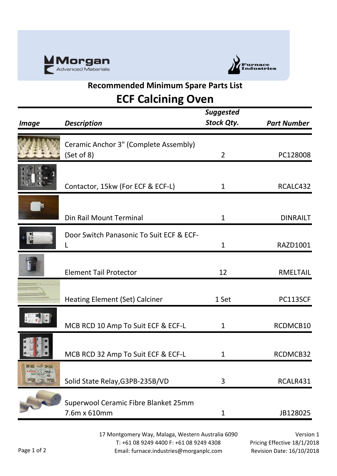



## **Recommended Minimum Spare Parts List ECF Calcining Oven**

| <b>Image</b>           | <b>Description</b>                                   | <b>Suggested</b><br><b>Stock Qty.</b> | <b>Part Number</b> |
|------------------------|------------------------------------------------------|---------------------------------------|--------------------|
|                        | Ceramic Anchor 3" (Complete Assembly)<br>(Set of 8)  | $\overline{2}$                        | PC128008           |
|                        | Contactor, 15kw (For ECF & ECF-L)                    | $\mathbf 1$                           | RCALC432           |
|                        | Din Rail Mount Terminal                              | $\mathbf{1}$                          | <b>DINRAILT</b>    |
| $\overline{e}$         | Door Switch Panasonic To Suit ECF & ECF-<br>L        | $\mathbf{1}$                          | RAZD1001           |
|                        | <b>Element Tail Protector</b>                        | 12                                    | <b>RMELTAIL</b>    |
|                        | <b>Heating Element (Set) Calciner</b>                | 1 Set                                 | PC113SCF           |
|                        | MCB RCD 10 Amp To Suit ECF & ECF-L                   | 1                                     | RCDMCB10           |
|                        | MCB RCD 32 Amp To Suit ECF & ECF-L                   | 1                                     | RCDMCB32           |
| <b>Rational School</b> | Solid State Relay, G3PB-235B/VD                      | 3                                     | RCALR431           |
|                        | Superwool Ceramic Fibre Blanket 25mm<br>7.6m x 610mm | $\mathbf{1}$                          | JB128025           |

17 Montgomery Way, Malaga, Western Australia 6090 T: +61 08 9249 4400 F: +61 08 9249 4308 Email: furnace.industries@morganplc.com

Version 1 Pricing Effective 18/1/2018 Revision Date: 16/10/2018